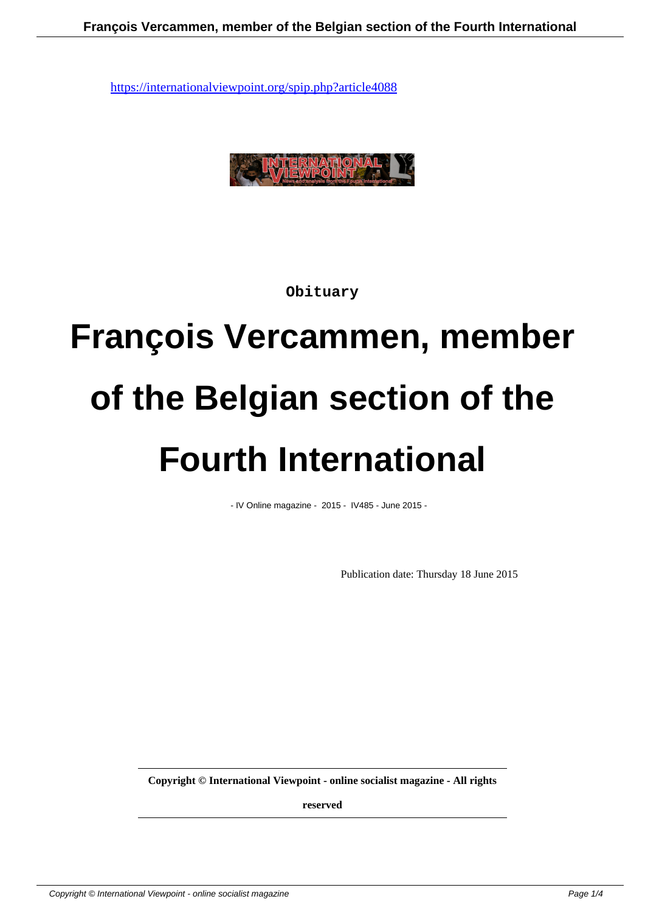

**Obituary**

# **François Vercammen, member of the Belgian section of the Fourth International**

- IV Online magazine - 2015 - IV485 - June 2015 -

Publication date: Thursday 18 June 2015

**Copyright © International Viewpoint - online socialist magazine - All rights**

**reserved**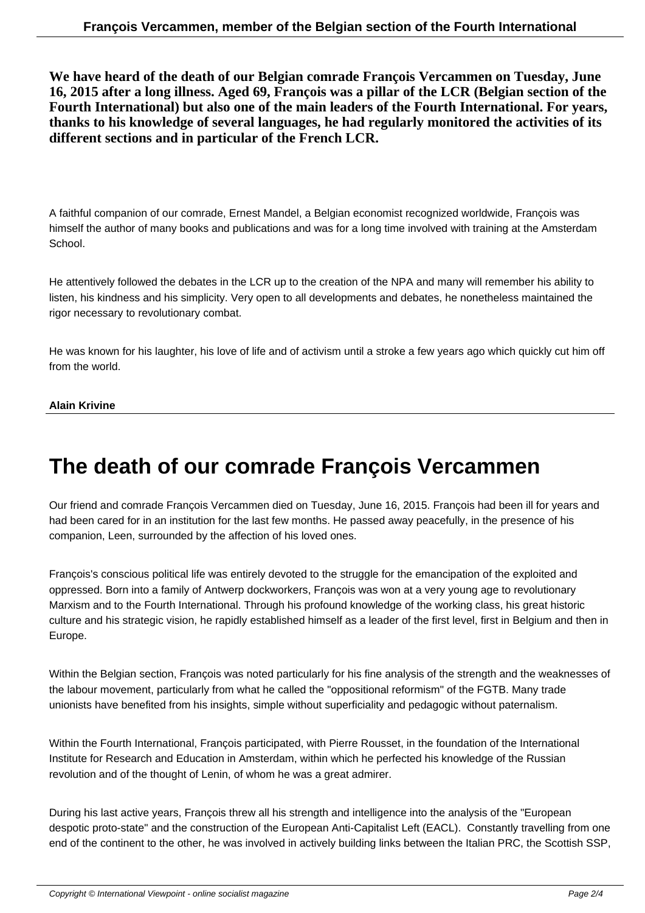**We have heard of the death of our Belgian comrade François Vercammen on Tuesday, June 16, 2015 after a long illness. Aged 69, François was a pillar of the LCR (Belgian section of the Fourth International) but also one of the main leaders of the Fourth International. For years, thanks to his knowledge of several languages, he had regularly monitored the activities of its different sections and in particular of the French LCR.**

A faithful companion of our comrade, Ernest Mandel, a Belgian economist recognized worldwide, François was himself the author of many books and publications and was for a long time involved with training at the Amsterdam School.

He attentively followed the debates in the LCR up to the creation of the NPA and many will remember his ability to listen, his kindness and his simplicity. Very open to all developments and debates, he nonetheless maintained the rigor necessary to revolutionary combat.

He was known for his laughter, his love of life and of activism until a stroke a few years ago which quickly cut him off from the world.

### **Alain Krivine**

## **The death of our comrade François Vercammen**

Our friend and comrade François Vercammen died on Tuesday, June 16, 2015. François had been ill for years and had been cared for in an institution for the last few months. He passed away peacefully, in the presence of his companion, Leen, surrounded by the affection of his loved ones.

François's conscious political life was entirely devoted to the struggle for the emancipation of the exploited and oppressed. Born into a family of Antwerp dockworkers, François was won at a very young age to revolutionary Marxism and to the Fourth International. Through his profound knowledge of the working class, his great historic culture and his strategic vision, he rapidly established himself as a leader of the first level, first in Belgium and then in Europe.

Within the Belgian section, François was noted particularly for his fine analysis of the strength and the weaknesses of the labour movement, particularly from what he called the "oppositional reformism" of the FGTB. Many trade unionists have benefited from his insights, simple without superficiality and pedagogic without paternalism.

Within the Fourth International, François participated, with Pierre Rousset, in the foundation of the International Institute for Research and Education in Amsterdam, within which he perfected his knowledge of the Russian revolution and of the thought of Lenin, of whom he was a great admirer.

During his last active years, François threw all his strength and intelligence into the analysis of the "European despotic proto-state" and the construction of the European Anti-Capitalist Left (EACL). Constantly travelling from one end of the continent to the other, he was involved in actively building links between the Italian PRC, the Scottish SSP,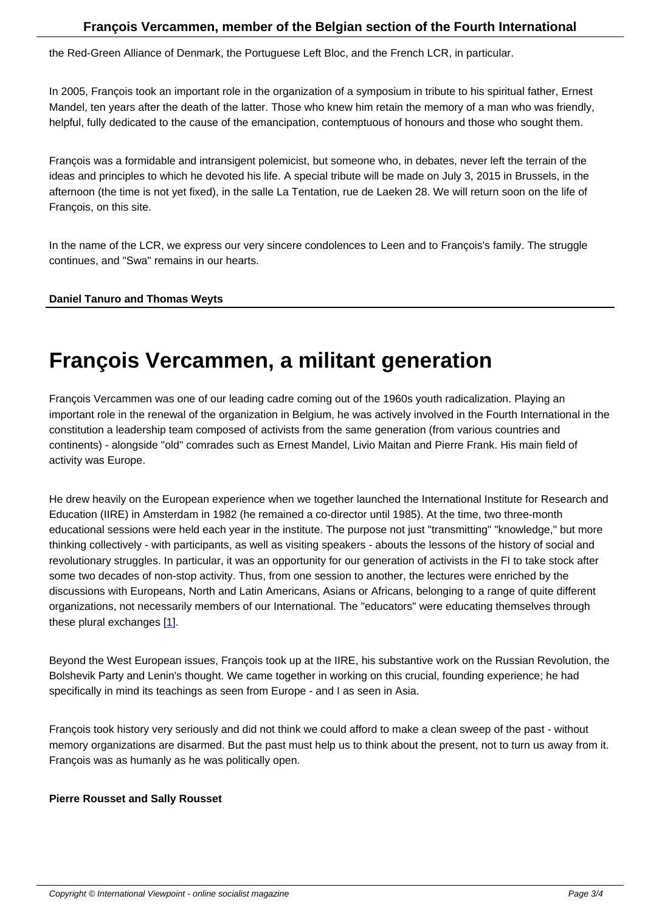the Red-Green Alliance of Denmark, the Portuguese Left Bloc, and the French LCR, in particular.

In 2005, François took an important role in the organization of a symposium in tribute to his spiritual father, Ernest Mandel, ten years after the death of the latter. Those who knew him retain the memory of a man who was friendly, helpful, fully dedicated to the cause of the emancipation, contemptuous of honours and those who sought them.

François was a formidable and intransigent polemicist, but someone who, in debates, never left the terrain of the ideas and principles to which he devoted his life. A special tribute will be made on July 3, 2015 in Brussels, in the afternoon (the time is not yet fixed), in the salle La Tentation, rue de Laeken 28. We will return soon on the life of François, on this site.

In the name of the LCR, we express our very sincere condolences to Leen and to François's family. The struggle continues, and "Swa" remains in our hearts.

## **Daniel Tanuro and Thomas Weyts**

# **François Vercammen, a militant generation**

François Vercammen was one of our leading cadre coming out of the 1960s youth radicalization. Playing an important role in the renewal of the organization in Belgium, he was actively involved in the Fourth International in the constitution a leadership team composed of activists from the same generation (from various countries and continents) - alongside "old" comrades such as Ernest Mandel, Livio Maitan and Pierre Frank. His main field of activity was Europe.

He drew heavily on the European experience when we together launched the International Institute for Research and Education (IIRE) in Amsterdam in 1982 (he remained a co-director until 1985). At the time, two three-month educational sessions were held each year in the institute. The purpose not just "transmitting" "knowledge," but more thinking collectively - with participants, as well as visiting speakers - abouts the lessons of the history of social and revolutionary struggles. In particular, it was an opportunity for our generation of activists in the FI to take stock after some two decades of non-stop activity. Thus, from one session to another, the lectures were enriched by the discussions with Europeans, North and Latin Americans, Asians or Africans, belonging to a range of quite different organizations, not necessarily members of our International. The "educators" were educating themselves through these plural exchanges [1].

Beyond the West European issues, François took up at the IIRE, his substantive work on the Russian Revolution, the Bolshevik Party and Len[in](#nb1)'s thought. We came together in working on this crucial, founding experience; he had specifically in mind its teachings as seen from Europe - and I as seen in Asia.

François took history very seriously and did not think we could afford to make a clean sweep of the past - without memory organizations are disarmed. But the past must help us to think about the present, not to turn us away from it. François was as humanly as he was politically open.

#### **Pierre Rousset and Sally Rousset**